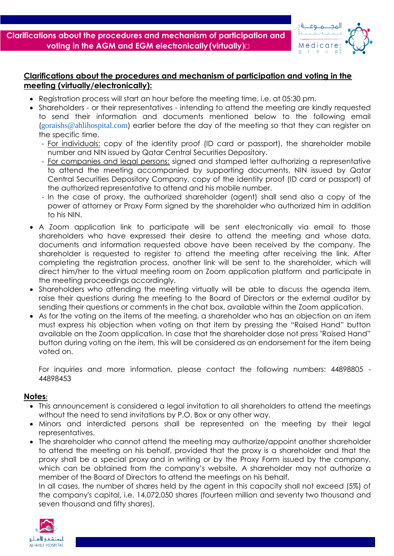**Clarifications about the procedures and mechanism of participation and voting in the AGM and EGM electronically(virtually(**



## **Clarifications about the procedures and mechanism of participation and voting in the meeting (virtually/electronically):**

- Registration process will start an hour before the meeting time, i.e. at 05:30 pm.
- Shareholders or their representatives intending to attend the meeting are kindly requested to send their information and documents mentioned below to the following email (goraishs@ahlihospital.com) earlier before the day of the meeting so that they can register on the specific time.
	- For individuals: copy of the identity proof (ID card or passport), the shareholder mobile number and NIN issued by Qatar Central Securities Depository.
	- For companies and legal persons: signed and stamped letter authorizing a representative to attend the meeting accompanied by supporting documents, NIN issued by Qatar Central Securities Depository Company, copy of the identity proof (ID card or passport) of the authorized representative to attend and his mobile number.
	- In the case of proxy, the authorized shareholder (agent) shall send also a copy of the power of attorney or Proxy Form signed by the shareholder who authorized him in addition to his NIN.
- A Zoom application link to participate will be sent electronically via email to those shareholders who have expressed their desire to attend the meeting and whose data, documents and information requested above have been received by the company. The shareholder is requested to register to attend the meeting after receiving the link. After completing the registration process, another link will be sent to the shareholder, which will direct him/her to the virtual meeting room on Zoom application platform and participate in the meeting proceedings accordingly.
- Shareholders who attending the meeting virtually will be able to discuss the agenda item, raise their questions during the meeting to the Board of Directors or the external auditor by sending their questions or comments in the chat box, available within the Zoom application.
- As for the voting on the items of the meeting, a shareholder who has an objection on an item must express his objection when voting on that item by pressing the "Raised Hand" button available on the Zoom application. In case that the shareholder dose not press "Raised Hand" button during voting on the item, this will be considered as an endorsement for the item being voted on.

For inquiries and more information, please contact the following numbers: 44898805 - 44898453

## **Notes:**

- This announcement is considered a legal invitation to all shareholders to attend the meetings without the need to send invitations by P.O. Box or any other way.
- Minors and interdicted persons shall be represented on the meeting by their legal representatives.
- The shareholder who cannot attend the meeting may authorize/appoint another shareholder to attend the meeting on his behalf, provided that the proxy is a shareholder and that the proxy shall be a special proxy and in writing or by the Proxy Form issued by the company, which can be obtained from the company's website. A shareholder may not authorize a member of the Board of Directors to attend the meetings on his behalf.

In all cases, the number of shares held by the agent in this capacity shall not exceed (5%) of the company's capital, i.e. 14,072,050 shares (fourteen million and seventy two thousand and seven thousand and fifty shares).